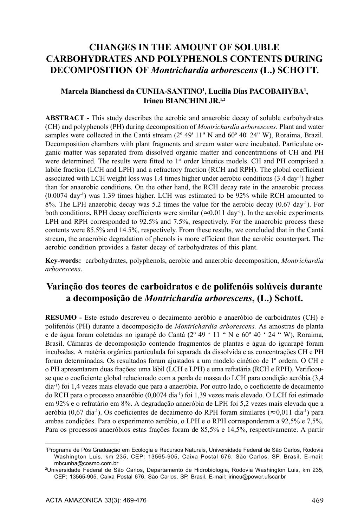# **CHANGES IN THE AMOUNT OF SOLUBLE CARBOHYDRATES AND POLYPHENOLS CONTENTS DURING DECOMPOSITION OF** *Montrichardia arborescens* **(L.) SCHOTT.**

#### **Marcela Bianchessi da CUNHA-SANTINO1 , Lucilia Dias PACOBAHYBA1 , Irineu BIANCHINI JR.1,2**

**ABSTRACT -** This study describes the aerobic and anaerobic decay of soluble carbohydrates (CH) and polyphenols (PH) during decomposition of *Montrichardia arborescens*. Plant and water samples were collected in the Cantá stream (2° 49' 11" N and 60° 40' 24" W). Roraima, Brazil. Decomposition chambers with plant fragments and stream water were incubated. Particulate organic matter was separated from dissolved organic matter and concentrations of CH and PH were determined. The results were fitted to 1<sup>st</sup> order kinetics models. CH and PH comprised a labile fraction (LCH and LPH) and a refractory fraction (RCH and RPH). The global coefficient associated with LCH weight loss was 1.4 times higher under aerobic conditions  $(3.4 \text{ day}^{-1})$  higher than for anaerobic conditions. On the other hand, the RCH decay rate in the anaerobic process  $(0.0074 \text{ day}^{-1})$  was 1.39 times higher. LCH was estimated to be 92% while RCH amounted to 8%. The LPH anaerobic decay was 5.2 times the value for the aerobic decay  $(0.67 \text{ day}^{-1})$ . For both conditions, RPH decay coefficients were similar ( $\approx 0.011 \text{ day}^{-1}$ ). In the aerobic experiments LPH and RPH corresponded to 92.5% and 7.5%, respectively. For the anaerobic process these contents were 85.5% and 14.5%, respectively. From these results, we concluded that in the Cantá stream, the anaerobic degradation of phenols is more efficient than the aerobic counterpart. The aerobic condition provides a faster decay of carbohydrates of this plant.

**Key-words:** carbohydrates, polyphenols, aerobic and anaerobic decomposition, *Montrichardia arborescens*.

## **Variação dos teores de carboidratos e de polifenóis solúveis durante a decomposição de** *Montrichardia arborescens***, (L.) Schott.**

**RESUMO -** Este estudo descreveu o decaimento aeróbio e anaeróbio de carboidratos (CH) e polifenóis (PH) durante a decomposição de *Montrichardia arborescens.* As amostras de planta e de água foram coletadas no igarapé do Cantá (2º 49 ' 11 " N e 60º 40 ' 24 " W), Roraima, Brasil. Câmaras de decomposição contendo fragmentos de plantas e água do iguarapé foram incubadas. A matéria orgânica particulada foi separada da dissolvida e as concentrações CH e PH foram determinadas. Os resultados foram ajustados a um modelo cinético de 1ª ordem. O CH e o PH apresentaram duas frações: uma lábil (LCH e LPH) e uma refratária (RCH e RPH). Verificouse que o coeficiente global relacionado com a perda de massa do LCH para condição aeróbia (3,4 dia-1) foi 1,4 vezes mais elevado que para a anaeróbia. Por outro lado, o coeficiente de decaimento do RCH para o processo anaeróbio (0,0074 dia-1) foi 1,39 vezes mais elevado. O LCH foi estimado em 92% e o refratário em 8%. A degradação anaeróbia de LPH foi 5,2 vezes mais elevada que a aeróbia (0,67 dia<sup>-1</sup>). Os coeficientes de decaimento do RPH foram similares ( $\approx 0.011$  dia<sup>-1</sup>) para ambas condições. Para o experimento aeróbio, o LPH e o RPH corresponderam a 92,5% e 7,5%. Para os processos anaeróbios estas frações foram de 85,5% e 14,5%, respectivamente. A partir

<sup>1</sup> Programa de Pós Graduação em Ecologia e Recursos Naturais, Universidade Federal de São Carlos, Rodovia Washington Luis, km 235, CEP: 13565-905, Caixa Postal 676. São Carlos, SP, Brasil. E-mail: mbcunha@cosmo.com.br

<sup>2</sup>Universidade Federal de São Carlos, Departamento de Hidrobiologia, Rodovia Washington Luis, km 235, CEP: 13565-905, Caixa Postal 676. São Carlos, SP, Brasil. E-mail: irineu@power.ufscar.br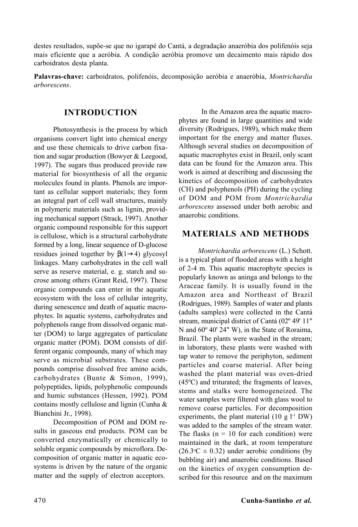destes resultados, supõe-se que no igarapé do Cantá, a degradação anaeróbia dos polifenóis seja mais eficiente que a aeróbia. A condição aeróbia promove um decaimento mais rápido dos carboidratos desta planta.

**Palavras-chave:** carboidratos, polifenóis, decomposição aeróbia e anaeróbia, *Montrichardia arborescens*.

#### **INTRODUCTION**

Photosynthesis is the process by which organisms convert light into chemical energy and use these chemicals to drive carbon fixation and sugar production (Bowyer & Leegood, 1997). The sugars thus produced provide raw material for biosynthesis of all the organic molecules found in plants. Phenols are important as cellular support materials; they form an integral part of cell wall structures, mainly in polymeric materials such as lignin, providing mechanical support (Strack, 1997). Another organic compound responsible for this support is cellulose, which is a structural carbohydrate formed by a long, linear sequence of D-glucose residues joined together by  $\beta(1\rightarrow4)$  glycosyl linkages. Many carbohydrates in the cell wall serve as reserve material, e. g. starch and sucrose among others (Grant Reid, 1997). These organic compounds can enter in the aquatic ecosystem with the loss of cellular integrity, during senescence and death of aquatic macrophytes. In aquatic systems, carbohydrates and polyphenols range from dissolved organic matter (DOM) to large aggregates of particulate organic matter (POM). DOM consists of different organic compounds, many of which may serve as microbial substrates. These compounds comprise dissolved free amino acids, carbohydrates (Bunte & Simon, 1999), polypeptides, lipids, polyphenolic compounds and humic substances (Hessen, 1992). POM contains mostly cellulose and lignin (Cunha & Bianchini Jr., 1998).

Decomposition of POM and DOM results in gaseous end products. POM can be converted enzymatically or chemically to soluble organic compounds by microflora. Decomposition of organic matter in aquatic ecosystems is driven by the nature of the organic matter and the supply of electron acceptors.

In the Amazon area the aquatic macrophytes are found in large quantities and wide diversity (Rodrigues, 1989), which make them important for the energy and matter fluxes. Although several studies on decomposition of aquatic macrophytes exist in Brazil, only scant data can be found for the Amazon area. This work is aimed at describing and discussing the kinetics of decomposition of carbohydrates (CH) and polyphenols (PH) during the cycling of DOM and POM from *Montrichardia arborescens* assessed under both aerobic and anaerobic conditions.

### **MATERIALS AND METHODS**

*Montrichardia arborescens* (L.) Schott. is a typical plant of flooded areas with a height of 2-4 m. This aquatic macrophyte species is popularly known as aninga and belongs to the Araceae family. It is usually found in the Amazon area and Northeast of Brazil (Rodrigues, 1989). Samples of water and plants (adults samples) were collected in the Cantá stream, municipal district of Cantá (02º 49' 11" N and 60º 40' 24" W), in the State of Roraima, Brazil. The plants were washed in the stream; in laboratory, these plants were washed with tap water to remove the periphyton, sediment particles and coarse material. After being washed the plant material was oven-dried (45ºC) and triturated; the fragments of leaves, stems and stalks were homogeneized. The water samples were filtered with glass wool to remove coarse particles. For decomposition experiments, the plant material  $(10 \text{ g } l<sup>-1</sup> \text{DW})$ was added to the samples of the stream water. The flasks ( $n = 10$  for each condition) were maintained in the dark, at room temperature  $(26.3^{\circ}\text{C} \pm 0.32)$  under aerobic conditions (by bubbling air) and anaerobic conditions. Based on the kinetics of oxygen consumption described for this resource and on the maximum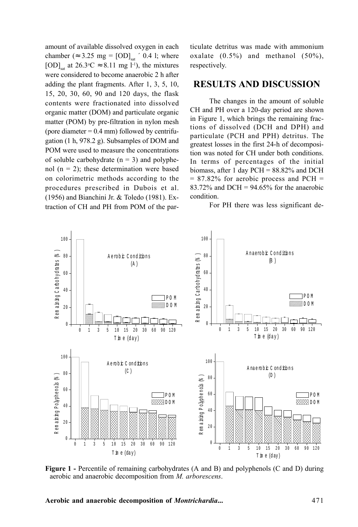amount of available dissolved oxygen in each chamber ( $\approx 3.25$  mg = [OD]<sub>sat</sub>  $\cdot$  0.4 l; where [OD]<sub>sat</sub> at  $26.3$ °C  $\approx$  8.11 mg l<sup>-1</sup>), the mixtures were considered to become anaerobic 2 h after adding the plant fragments. After 1, 3, 5, 10, 15, 20, 30, 60, 90 and 120 days, the flask contents were fractionated into dissolved organic matter (DOM) and particulate organic matter (POM) by pre-filtration in nylon mesh (pore diameter  $= 0.4$  mm) followed by centrifugation (1 h, 978.2 g). Subsamples of DOM and POM were used to measure the concentrations of soluble carbohydrate  $(n = 3)$  and polyphenol  $(n = 2)$ ; these determination were based on colorimetric methods according to the procedures prescribed in Dubois et al. (1956) and Bianchini Jr. & Toledo (1981). Extraction of CH and PH from POM of the particulate detritus was made with ammonium oxalate  $(0.5\%)$  and methanol  $(50\%)$ , respectively.

### **RESULTS AND DISCUSSION**

The changes in the amount of soluble CH and PH over a 120-day period are shown in Figure 1, which brings the remaining fractions of dissolved (DCH and DPH) and particulate (PCH and PPH) detritus. The greatest losses in the first 24-h of decomposition was noted for CH under both conditions. In terms of percentages of the initial biomass, after 1 day PCH = 88.82% and DCH  $= 87.82\%$  for aerobic process and PCH  $=$ 83.72% and DCH =  $94.65%$  for the anaerobic condition.

For PH there was less significant de-



**Figure 1 -** Percentile of remaining carbohydrates (A and B) and polyphenols (C and D) during aerobic and anaerobic decomposition from *M. arborescens*.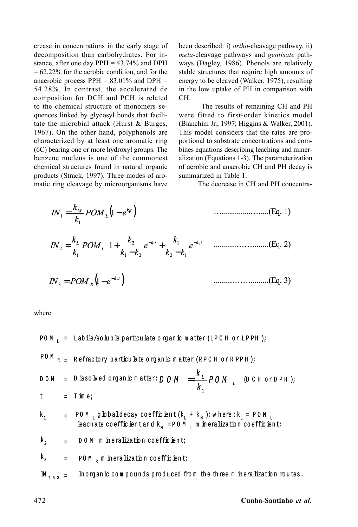crease in concentrations in the early stage of decomposition than carbohydrates. For instance, after one day PPH = 43.74% and DPH  $= 62.22\%$  for the aerobic condition, and for the anaerobic process  $PPH = 83.01\%$  and  $DPH =$ 54.28%. In contrast, the accelerated de composition for DCH and PCH is related to the chemical structure of monomers sequences linked by glycosyl bonds that facilitate the microbial attack (Hurst & Burges, 1967). On the other hand, polyphenols are characterized by at least one aromatic ring (6C) bearing one or more hydroxyl groups. The benzene nucleus is one of the commonest chemical structures found in natural organic products (Strack, 1997). Three modes of aromatic ring cleavage by microorganisms have

been described: i) *ortho*-cleavage pathway, ii) *meta*-cleavage pathways and *gentisate* pathways (Dagley, 1986). Phenols are relatively stable structures that require high amounts of energy to be cleaved (Walker, 1975), resulting in the low uptake of PH in comparison with CH.

The results of remaining CH and PH were fitted to first-order kinetics model (Bianchini Jr., 1997; Higgins & Walker, 2001). This model considers that the rates are proportional to substrate concentrations and combines equations describing leaching and mineralization (Equations 1-3). The parameterization of aerobic and anaerobic CH and PH decay is summarized in Table 1.

The decrease in CH and PH concentra-

$$
IN_{1} = \frac{k_{M}}{k_{1}} POM_{L} (1 - e^{k_{1}t})
$$
\n
$$
IN_{2} = \frac{k_{L}}{k_{1}} POM_{L} \left( 1 + \frac{k_{2}}{k_{1} - k_{2}} e^{-k_{1}t} + \frac{k_{1}}{k_{2} - k_{1}} e^{-k_{2}t} \right)
$$
\n
$$
IN_{3} = POM_{R} (1 - e^{-k_{3}t})
$$
\n
$$
IN_{4} = \frac{1}{k_{1}} POM_{R} (1 - e^{-k_{3}t})
$$
\n
$$
IN_{5} = \frac{1}{k_{2}} POM_{R} (1 - e^{-k_{4}t})
$$
\n
$$
IN_{6} = \frac{1}{k_{1}} POM_{R} (1 - e^{-k_{5}t})
$$
\n
$$
IN_{7} = \frac{1}{k_{1}} POM_{R} (1 - e^{-k_{5}t})
$$
\n
$$
IN_{8} = \frac{1}{k_{1}} POM_{R} (1 - e^{-k_{4}t})
$$
\n
$$
IN_{9} = \frac{1}{k_{1}} POM_{R} (1 - e^{-k_{5}t})
$$
\n
$$
IN_{10} = \frac{1}{k_{1}} POM_{R} (1 - e^{-k_{5}t})
$$
\n
$$
IN_{11} = \frac{1}{k_{1}} POM_{R} (1 - e^{-k_{5}t})
$$
\n
$$
IN_{12} = \frac{1}{k_{1}} POM_{R} (1 - e^{-k_{5}t})
$$
\n
$$
IN_{13} = \frac{1}{k_{1}} POM_{R} (1 - e^{-k_{5}t})
$$

where:

PO M  $_L$  = Labile/so luble particulate o rg an ic m atter (LPCH or LPPH);  $P$ O M  $_{R}$   $_{=}$  R efractory particulate organic matter (R P C H or R P P H ); D issolved organic matter:  $D \text{ O } M = \frac{1}{\cdot} D D M$   $L$  (DCH or DPH); k  $\mathsf{D}\,\mathsf{O}\,\mathsf{M} = \stackrel{\mathsf{K}}{-}$ 1  $DOM = D$  is solved organic matter:  $DOM =$ T im e ; =  $\mathrm{k}_1$  = POM  $_{\textrm{\tiny{L}}}$  g Lobaldecay coefficient ( $\mathrm{k}_\textrm{\tiny{L}}$  +  $\mathrm{k}_\textrm{\tiny{M}}$  ); where :  $\mathrm{k}_\textrm{\tiny{L}}$  = POM  $_{\textrm{\tiny{L}}}$ leach ate co effic ient and  $k_M$  =POM  $\mu$  m in eralization co efficient;  $k_2 = DOM$  mineralization coefficient; = POM<sub>R</sub> m in eralization coefficient; In organ ic compounds produced from the three m in eralization routes.  $\mathbb{N}_{1a3}$  = t  $k<sub>2</sub>$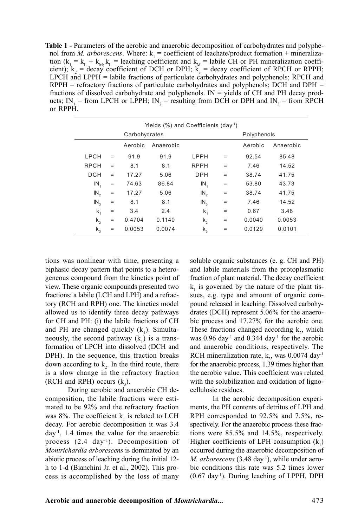**Table 1 -** Parameters of the aerobic and anaerobic decomposition of carbohydrates and polyphenol from *M. arborescens*. Where:  $k_1$  = coefficient of leachate/product formation + mineralization ( $k_1 = k_L + k_{M}$ ,  $k_L$  = leaching coefficient and  $k_M$  = labile CH or PH mineralization coefficient);  $k_2$  = decay coefficient of DCH or DPH;  $k_3$  = decay coefficient of RPCH or RPPH; LPCH and LPPH = labile fractions of particulate carbohydrates and polyphenols; RPCH and  $RPPH =$  refractory fractions of particulate carbohydrates and polyphenols; DCH and DPH = fractions of dissolved carbohydrate and polyphenols.  $IN =$  yields of CH and PH decay products;  $IN_1$  = from LPCH or LPPH;  $IN_2$  = resulting from DCH or DPH and  $IN_3$  = from RPCH or RPPH.

| Yields $(\%)$ and Coefficients (day <sup>-1</sup> ) |                   |         |           |               |                   |             |           |
|-----------------------------------------------------|-------------------|---------|-----------|---------------|-------------------|-------------|-----------|
|                                                     | Carbohydrates     |         |           |               |                   | Polyphenols |           |
|                                                     |                   | Aerobic | Anaerobic |               |                   | Aerobic     | Anaerobic |
| LPCH                                                | $=$               | 91.9    | 91.9      | LPPH          | $=$               | 92.54       | 85.48     |
| <b>RPCH</b>                                         | $\qquad \qquad =$ | 8.1     | 8.1       | <b>RPPH</b>   | $=$               | 7.46        | 14.52     |
| DCH                                                 | $\qquad \qquad =$ | 17.27   | 5.06      | <b>DPH</b>    | $\qquad \qquad =$ | 38.74       | 41.75     |
| $IN_{4}$                                            | $\qquad \qquad =$ | 74.63   | 86.84     | $IN_4$        | $\qquad \qquad =$ | 53.80       | 43.73     |
| $IN_{2}$                                            | $\equiv$          | 17.27   | 5.06      | $IN_{2}$      | $\equiv$          | 38.74       | 41.75     |
| $IN_{3}$                                            | $\equiv$          | 8.1     | 8.1       | $IN_{\alpha}$ | $\equiv$          | 7.46        | 14.52     |
| $\mathsf{k}_1$                                      | $=$               | 3.4     | 2.4       | k,            | $=$               | 0.67        | 3.48      |
| $k_{2}$                                             | $=$               | 0.4704  | 0.1140    | $k_{2}$       | $=$               | 0.0040      | 0.0053    |
| $k_{3}$                                             | $=$               | 0.0053  | 0.0074    | $k_{3}$       | $=$               | 0.0129      | 0.0101    |

tions was nonlinear with time, presenting a biphasic decay pattern that points to a heterogeneous compound from the kinetics point of view. These organic compounds presented two fractions: a labile (LCH and LPH) and a refractory (RCH and RPH) one. The kinetics model allowed us to identify three decay pathways for CH and PH: (i) the labile fractions of CH and PH are changed quickly  $(k_1)$ . Simultaneously, the second pathway  $(k_1)$  is a transformation of LPCH into dissolved (DCH and DPH). In the sequence, this fraction breaks down according to  $k<sub>2</sub>$ . In the third route, there is a slow change in the refractory fraction (RCH and RPH) occurs  $(k_3)$ .

During aerobic and anaerobic CH decomposition, the labile fractions were estimated to be 92% and the refractory fraction was 8%. The coefficient  $k_1$  is related to LCH decay. For aerobic decomposition it was 3.4 day-1, 1.4 times the value for the anaerobic process (2.4 day<sup>-1</sup>). Decomposition of *Montrichardia arborescens* is dominated by an abiotic process of leaching during the initial 12 h to 1-d (Bianchini Jr. et al., 2002). This process is accomplished by the loss of many

soluble organic substances (e. g. CH and PH) and labile materials from the protoplasmatic fraction of plant material. The decay coefficient  $k_1$  is governed by the nature of the plant tissues, e.g. type and amount of organic compound released in leaching. Dissolved carbohydrates (DCH) represent 5.06% for the anaerobic process and 17.27% for the aerobic one. These fractions changed according  $k_2$ , which was  $0.96 \text{ day}^{-1}$  and  $0.344 \text{ day}^{-1}$  for the aerobic and anaerobic conditions, respectively. The RCH mineralization rate,  $k_3$ , was 0.0074 day<sup>-1</sup> for the anaerobic process, 1.39 times higher than the aerobic value. This coefficient was related with the solubilization and oxidation of lignocellulosic residues.

In the aerobic decomposition experiments, the PH contents of detritus of LPH and RPH corresponded to 92.5% and 7.5%, respectively. For the anaerobic process these fractions were 85.5% and 14.5%, respectively. Higher coefficients of LPH consumption  $(k_1)$ occurred during the anaerobic decomposition of *M. arborescens* (3.48 day<sup>-1</sup>), while under aerobic conditions this rate was 5.2 times lower  $(0.67 \text{ day}^1)$ . During leaching of LPPH, DPH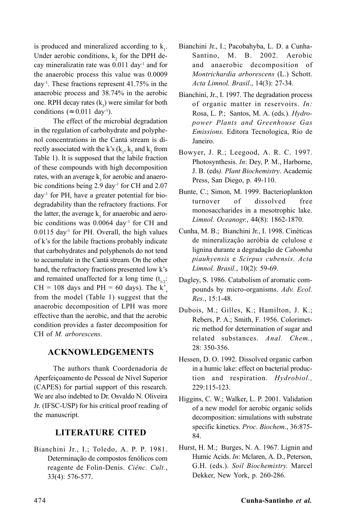is produced and mineralized according to  $k_1$ . Under aerobic conditions,  $k_2$  for the DPH decay mineralizatin rate was 0.011 day-1 and for the anaerobic process this value was 0.0009 day-1. These fractions represent 41.75% in the anaerobic process and 38.74% in the aerobic one. RPH decay rates  $(k_3)$  were similar for both conditions ( $\approx 0.011 \text{ day}^{-1}$ ).

The effect of the microbial degradation in the regulation of carbohydrate and polyphenol concentrations in the Cantá stream is directly associated with the k's  $(k_1, k_2)$  and  $k_3$  from Table 1). It is supposed that the labile fraction of these compounds with high decomposition rates, with an average k, for aerobic and anaerobic conditions being 2.9 day<sup>-1</sup> for CH and 2.07  $day<sup>-1</sup>$  for PH, have a greater potential for biodegradability than the refractory fractions. For the latter, the average  $k_3$  for anaerobic and aerobic conditions was 0.0064 day<sup>-1</sup> for CH and  $0.0115$  day<sup>-1</sup> for PH. Overall, the high values of k's for the labile fractions probably indicate that carbohydrates and polyphenols do not tend to accumulate in the Cantá stream. On the other hand, the refractory fractions presented low k's and remained unaffected for a long time  $(t_{1,2})$ :  $CH = 108$  days and  $PH = 60$  days). The k' from the model (Table 1) suggest that the anaerobic decomposition of LPH was more effective than the aerobic, and that the aerobic condition provides a faster decomposition for CH of *M. arborescens*.

#### **ACKNOWLEDGEMENTS**

The authors thank Coordenadoria de Aperfeiçoamento de Pessoal de Nível Superior (CAPES) for partial support of this research. We are also indebted to Dr. Osvaldo N. Oliveira Jr. (IFSC-USP) for his critical proof reading of the manuscript.

### **LITERATURE CITED**

Bianchini Jr., I.; Toledo, A. P. P. 1981. Determinação de compostos fenólicos com reagente de Folin-Denis. *Ciênc. Cult.*, 33(4): 576-577.

- Bianchini Jr., I.; Pacobahyba, L. D. a Cunha-Santino, M. B. 2002. Aerobic and anaerobic decomposition of *Montrichardia arborescens* (L.) Schott. *Acta Limnol. Brasil*., 14(3): 27-34.
- Bianchini, Jr., I. 1997. The degradation process of organic matter in reservoirs. *In:* Rosa, L. P.; Santos, M. A. (eds.). *Hydropower Plants and Greenhouse Gas Emissions.* Editora Tecnologica, Rio de Janeiro.
- Bowyer, J. R.; Leegood, A. R. C. 1997. Photosynthesis. *In*: Dey, P. M., Harborne, J. B. (eds*). Plant Biochemistry*. Academic Press, San Diego, p. 49-110.
- Bunte, C.; Simon, M. 1999. Bacterioplankton turnover of dissolved free monosaccharides in a mesotrophic lake. *Limnol. Oceanogr.*, 44(8): 1862-1870.
- Cunha, M. B.; Bianchini Jr., I. 1998. Cinéticas de mineralização aeróbia de celulose e lignina durante a degradação de *Cabomba piauhyensis* e *Scirpus cubensis. Acta Limnol. Brasil.*, 10(2): 59-69.
- Dagley, S. 1986. Catabolism of aromatic compounds by micro-organisms. *Adv. Ecol. Res*., 15:1-48.
- Dubois, M.; Gilles, K.; Hamilton, J. K.; Rebers, P. A.; Smith, F. 1956. Colorimetric method for determination of sugar and related substances. *Anal. Chem.*, 28: 350-356.
- Hessen, D. O. 1992. Dissolved organic carbon in a humic lake: effect on bacterial production and respiration. *Hydrobiol.,* 229:115-123.
- Higgins, C. W.; Walker, L. P. 2001. Validation of a new model for aerobic organic solids decomposition: simulations with substrate specific kinetics. *Proc. Biochem.*, 36:875- 84.
- Hurst, H. M.; Burges, N. A. 1967. Lignin and Humic Acids. *In*: Mclaren, A. D., Peterson, G.H. (eds.). *Soil Biochemistry.* Marcel Dekker, New York, p. 260-286.